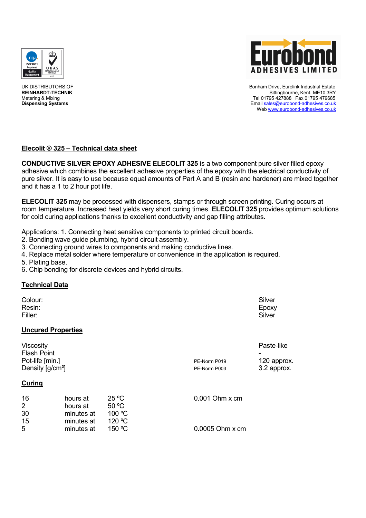



UK DISTRIBUTORS OF Bonham Drive, Eurolink Industrial Estate REINHARDT-TECHNIK STREEP STREEP TO A STREEP THE SITTING OF THE SITTING STREEP THE SITTING STREEP THE SITTING O<br>Tel 01795 427888 Fax 01795 479685 Metering & Mixing Tel 01795 427888 Fax 01795 479685<br>Dispensing Systems Tel 01795 427888 Fax 01795 479685<br>Dispensing Systems **Dispensing Systems** Email sales@eurobond-adhesives.co.uk Web www.eurobond-adhesives.co.uk

# **Elecolit Ä 325 – Technical data sheet**

**CONDUCTIVE SILVER EPOXY ADHESIVE ELECOLIT 325** is a two component pure silver filled epoxy adhesive which combines the excellent adhesive properties of the epoxy with the electrical conductivity of pure silver. It is easy to use because equal amounts of Part A and B (resin and hardener) are mixed together and it has a 1 to 2 hour pot life.

**ELECOLIT 325** may be processed with dispensers, stamps or through screen printing. Curing occurs at room temperature. Increased heat yields very short curing times. **ELECOLIT 325** provides optimum solutions for cold curing applications thanks to excellent conductivity and gap filling attributes.

Applications: 1. Connecting heat sensitive components to printed circuit boards.

- 2. Bonding wave guide plumbing, hybrid circuit assembly.
- 3. Connecting ground wires to components and making conductive lines.
- 4. Replace metal solder where temperature or convenience in the application is required.
- 5. Plating base.
- 6. Chip bonding for discrete devices and hybrid circuits.

# **Technical Data**

| Colour:<br>Resin:<br>Filler:                                                       |                                                  |                                             |                              | Silver<br>Epoxy<br>Silver                |
|------------------------------------------------------------------------------------|--------------------------------------------------|---------------------------------------------|------------------------------|------------------------------------------|
|                                                                                    | <b>Uncured Properties</b>                        |                                             |                              |                                          |
| Viscosity<br><b>Flash Point</b><br>Pot-life [min.]<br>Density [g/cm <sup>3</sup> ] |                                                  |                                             | PE-Norm P019<br>PE-Norm P003 | Paste-like<br>120 approx.<br>3.2 approx. |
| <b>Curing</b>                                                                      |                                                  |                                             |                              |                                          |
| 16<br>2<br>30<br>15                                                                | hours at<br>hours at<br>minutes at<br>minutes at | $25^{\circ}$ C<br>50 °C<br>100 °C<br>120 °C | 0.001 Ohm x cm               |                                          |
| 5                                                                                  | minutes at                                       | 150 °C                                      | 0.0005 Ohm x cm              |                                          |